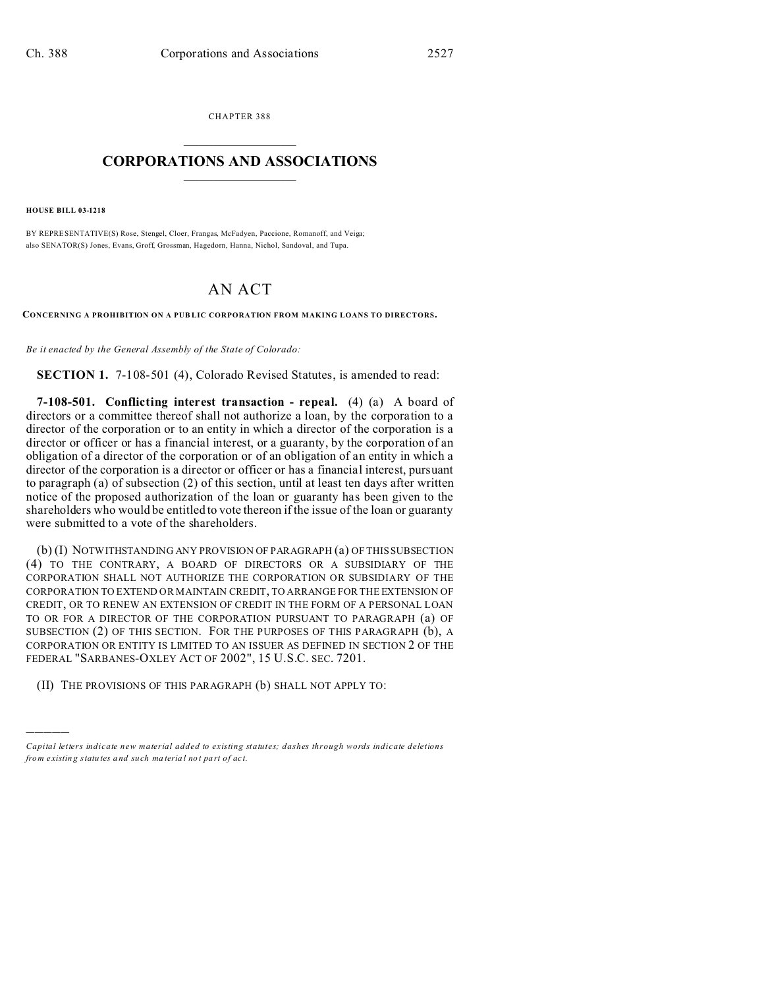CHAPTER 388  $\overline{\phantom{a}}$  , where  $\overline{\phantom{a}}$ 

## **CORPORATIONS AND ASSOCIATIONS**  $\_$   $\_$   $\_$   $\_$   $\_$   $\_$   $\_$   $\_$   $\_$

**HOUSE BILL 03-1218**

)))))

BY REPRESENTATIVE(S) Rose, Stengel, Cloer, Frangas, McFadyen, Paccione, Romanoff, and Veiga; also SENATOR(S) Jones, Evans, Groff, Grossman, Hagedorn, Hanna, Nichol, Sandoval, and Tupa.

## AN ACT

**CONCERNING A PROHIBITION ON A PUB LIC CORPORATION FROM MAKING LOANS TO DIRECTORS.**

*Be it enacted by the General Assembly of the State of Colorado:*

**SECTION 1.** 7-108-501 (4), Colorado Revised Statutes, is amended to read:

**7-108-501. Conflicting interest transaction - repeal.** (4) (a) A board of directors or a committee thereof shall not authorize a loan, by the corporation to a director of the corporation or to an entity in which a director of the corporation is a director or officer or has a financial interest, or a guaranty, by the corporation of an obligation of a director of the corporation or of an obligation of an entity in which a director of the corporation is a director or officer or has a financial interest, pursuant to paragraph (a) of subsection (2) of this section, until at least ten days after written notice of the proposed authorization of the loan or guaranty has been given to the shareholders who would be entitled to vote thereon if the issue of the loan or guaranty were submitted to a vote of the shareholders.

(b) (I) NOTWITHSTANDING ANY PROVISION OF PARAGRAPH (a) OF THIS SUBSECTION (4) TO THE CONTRARY, A BOARD OF DIRECTORS OR A SUBSIDIARY OF THE CORPORATION SHALL NOT AUTHORIZE THE CORPORATION OR SUBSIDIARY OF THE CORPORATION TO EXTEND OR MAINTAIN CREDIT, TO ARRANGE FOR THE EXTENSION OF CREDIT, OR TO RENEW AN EXTENSION OF CREDIT IN THE FORM OF A PERSONAL LOAN TO OR FOR A DIRECTOR OF THE CORPORATION PURSUANT TO PARAGRAPH (a) OF SUBSECTION (2) OF THIS SECTION. FOR THE PURPOSES OF THIS PARAGRAPH (b), A CORPORATION OR ENTITY IS LIMITED TO AN ISSUER AS DEFINED IN SECTION 2 OF THE FEDERAL "SARBANES-OXLEY ACT OF 2002", 15 U.S.C. SEC. 7201.

(II) THE PROVISIONS OF THIS PARAGRAPH (b) SHALL NOT APPLY TO:

*Capital letters indicate new material added to existing statutes; dashes through words indicate deletions from e xistin g statu tes a nd such ma teria l no t pa rt of ac t.*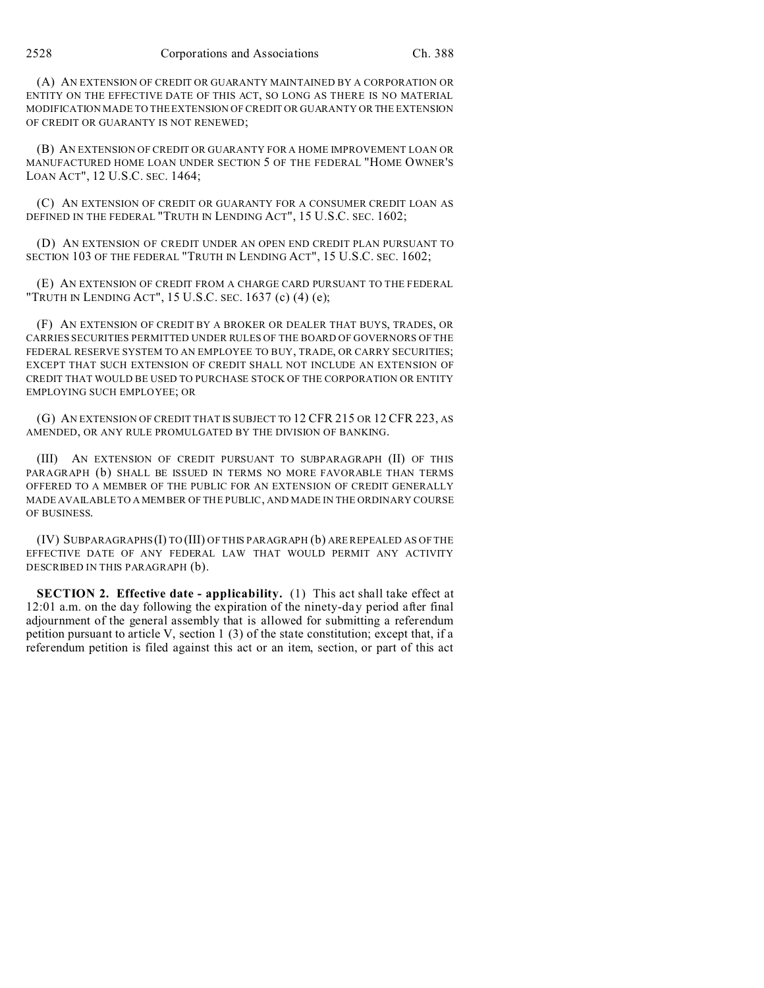(A) AN EXTENSION OF CREDIT OR GUARANTY MAINTAINED BY A CORPORATION OR ENTITY ON THE EFFECTIVE DATE OF THIS ACT, SO LONG AS THERE IS NO MATERIAL MODIFICATION MADE TO THE EXTENSION OF CREDIT OR GUARANTY OR THE EXTENSION OF CREDIT OR GUARANTY IS NOT RENEWED;

(B) AN EXTENSION OF CREDIT OR GUARANTY FOR A HOME IMPROVEMENT LOAN OR MANUFACTURED HOME LOAN UNDER SECTION 5 OF THE FEDERAL "HOME OWNER'S LOAN ACT", 12 U.S.C. SEC. 1464;

(C) AN EXTENSION OF CREDIT OR GUARANTY FOR A CONSUMER CREDIT LOAN AS DEFINED IN THE FEDERAL "TRUTH IN LENDING ACT", 15 U.S.C. SEC. 1602;

(D) AN EXTENSION OF CREDIT UNDER AN OPEN END CREDIT PLAN PURSUANT TO SECTION 103 OF THE FEDERAL "TRUTH IN LENDING ACT", 15 U.S.C. SEC. 1602;

(E) AN EXTENSION OF CREDIT FROM A CHARGE CARD PURSUANT TO THE FEDERAL "TRUTH IN LENDING ACT", 15 U.S.C. SEC. 1637 (c) (4) (e);

(F) AN EXTENSION OF CREDIT BY A BROKER OR DEALER THAT BUYS, TRADES, OR CARRIES SECURITIES PERMITTED UNDER RULES OF THE BOARD OF GOVERNORS OF THE FEDERAL RESERVE SYSTEM TO AN EMPLOYEE TO BUY, TRADE, OR CARRY SECURITIES; EXCEPT THAT SUCH EXTENSION OF CREDIT SHALL NOT INCLUDE AN EXTENSION OF CREDIT THAT WOULD BE USED TO PURCHASE STOCK OF THE CORPORATION OR ENTITY EMPLOYING SUCH EMPLOYEE; OR

(G) AN EXTENSION OF CREDIT THAT IS SUBJECT TO 12 CFR 215 OR 12 CFR 223, AS AMENDED, OR ANY RULE PROMULGATED BY THE DIVISION OF BANKING.

(III) AN EXTENSION OF CREDIT PURSUANT TO SUBPARAGRAPH (II) OF THIS PARAGRAPH (b) SHALL BE ISSUED IN TERMS NO MORE FAVORABLE THAN TERMS OFFERED TO A MEMBER OF THE PUBLIC FOR AN EXTENSION OF CREDIT GENERALLY MADE AVAILABLE TO A MEMBER OF THE PUBLIC, AND MADE IN THE ORDINARY COURSE OF BUSINESS.

(IV) SUBPARAGRAPHS (I) TO (III) OF THIS PARAGRAPH (b) ARE REPEALED AS OF THE EFFECTIVE DATE OF ANY FEDERAL LAW THAT WOULD PERMIT ANY ACTIVITY DESCRIBED IN THIS PARAGRAPH (b).

**SECTION 2. Effective date - applicability.** (1) This act shall take effect at 12:01 a.m. on the day following the expiration of the ninety-day period after final adjournment of the general assembly that is allowed for submitting a referendum petition pursuant to article V, section 1 (3) of the state constitution; except that, if a referendum petition is filed against this act or an item, section, or part of this act